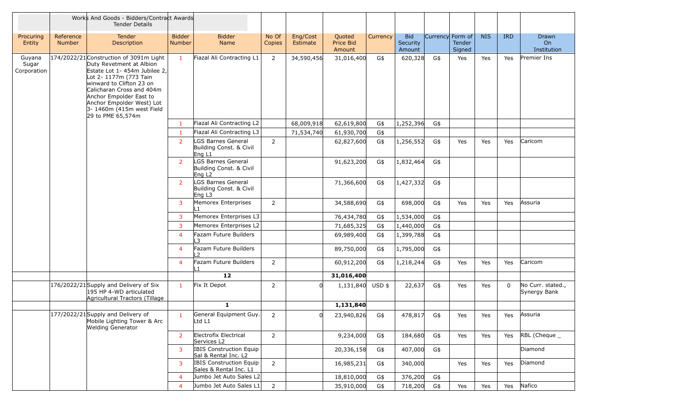|                                |                     | Works And Goods - Bidders/Contract Awards<br><b>Tender Details</b>                                                                                                                                                                                                                                 |                         |                                                                     |                 |                      |                                      |          |                                  |                  |                  |            |             |                                               |
|--------------------------------|---------------------|----------------------------------------------------------------------------------------------------------------------------------------------------------------------------------------------------------------------------------------------------------------------------------------------------|-------------------------|---------------------------------------------------------------------|-----------------|----------------------|--------------------------------------|----------|----------------------------------|------------------|------------------|------------|-------------|-----------------------------------------------|
| Procuring<br>Entity            | Reference<br>Number | Tender<br>Description                                                                                                                                                                                                                                                                              | <b>Bidder</b><br>Number | <b>Bidder</b><br>Name                                               | No Of<br>Copies | Eng/Cost<br>Estimate | Quoted<br><b>Price Bid</b><br>Amount | Currency | <b>Bid</b><br>Security<br>Amount | Currency Form of | Tender<br>Signed | <b>NIS</b> | <b>IRD</b>  | <b>Drawn</b><br>O <sub>n</sub><br>Institution |
| Guyana<br>Sugar<br>Corporation |                     | 174/2022/21 Construction of 3091m Light<br>Duty Revetment at Albion<br>Estate Lot 1- 454m Jubilee 2,<br>Lot 2- 1177m (773 Tain<br>winward to Clifton 23 on<br>Calicharan Cross and 404m<br>Anchor Empolder East to<br>Anchor Empolder West) Lot<br>$3-1460m$ (415m west Field<br>29 to PME 65,574m | $\mathbf{1}$            | Fiazal Ali Contracting L1                                           | $\overline{2}$  | 34,590,456           | 31,016,400                           | G\$      | 620,328                          | G\$              | Yes              | Yes        | Yes         | Premier Ins                                   |
|                                |                     |                                                                                                                                                                                                                                                                                                    | $\mathbf{1}$            | Fiazal Ali Contracting L2                                           |                 | 68,009,918           | 62,619,800                           | G\$      | 1,252,396                        | G\$              |                  |            |             |                                               |
|                                |                     |                                                                                                                                                                                                                                                                                                    | $\mathbf{1}$            | Fiazal Ali Contracting L3                                           |                 | 71,534,740           | 61,930,700                           | G\$      |                                  |                  |                  |            |             |                                               |
|                                |                     |                                                                                                                                                                                                                                                                                                    | $\overline{2}$          | <b>GS Barnes General</b><br>Building Const. & Civil<br>Eng L1       | $2^{\circ}$     |                      | 62,827,600                           | G\$      | 1,256,552                        | G\$              | Yes              | Yes        | Yes         | Caricom                                       |
|                                |                     |                                                                                                                                                                                                                                                                                                    | $\overline{2}$          | LGS Barnes General<br>Building Const. & Civil<br>Eng L <sub>2</sub> |                 |                      | 91,623,200                           | G\$      | 1,832,464                        | G\$              |                  |            |             |                                               |
|                                |                     |                                                                                                                                                                                                                                                                                                    | 2                       | LGS Barnes General<br>Building Const. & Civil<br>Eng L3             |                 |                      | 71,366,600                           | G\$      | 1,427,332                        | G\$              |                  |            |             |                                               |
|                                |                     |                                                                                                                                                                                                                                                                                                    | 3                       | Memorex Enterprises                                                 | $2^{\circ}$     |                      | 34,588,690                           | G\$      | 698,000                          | G\$              | Yes              | Yes        | Yes         | Assuria                                       |
|                                |                     |                                                                                                                                                                                                                                                                                                    | $\overline{3}$          | Memorex Enterprises L3                                              |                 |                      | 76,434,780                           | G\$      | 1,534,000                        | G\$              |                  |            |             |                                               |
|                                |                     |                                                                                                                                                                                                                                                                                                    | 3                       | Memorex Enterprises L2                                              |                 |                      | 71,685,325                           | G\$      | 1,440,000                        | G\$              |                  |            |             |                                               |
|                                |                     |                                                                                                                                                                                                                                                                                                    | $\overline{4}$          | Fazam Future Builders<br>3                                          |                 |                      | 69,989,400                           | G\$      | 1,399,788                        | G\$              |                  |            |             |                                               |
|                                |                     |                                                                                                                                                                                                                                                                                                    | $\overline{4}$          | Fazam Future Builders<br>$\mathcal{L}$                              |                 |                      | 89,750,000                           | G\$      | 1,795,000                        | G\$              |                  |            |             |                                               |
|                                |                     |                                                                                                                                                                                                                                                                                                    | 4                       | Fazam Future Builders<br>l 1                                        | $\overline{2}$  |                      | 60,912,200                           | G\$      | 1,218,244                        | G\$              | Yes              | Yes        | Yes         | Caricom                                       |
|                                |                     |                                                                                                                                                                                                                                                                                                    |                         | 12                                                                  |                 |                      | 31,016,400                           |          |                                  |                  |                  |            |             |                                               |
|                                |                     | 176/2022/21 Supply and Delivery of Six<br>195 HP 4-WD articulated<br>Agricultural Tractors (Tillage                                                                                                                                                                                                | $\mathbf{1}$            | Fix It Depot                                                        | 2               |                      | 1,131,840 USD \$                     |          | 22,637                           | G\$              | Yes              | Yes        | $\mathbf 0$ | No Curr. stated.,<br>Synergy Bank             |
|                                |                     |                                                                                                                                                                                                                                                                                                    |                         | 1                                                                   |                 |                      | 1,131,840                            |          |                                  |                  |                  |            |             |                                               |
|                                |                     | $\sqrt{177/2022/21}$ Supply and Delivery of<br>Mobile Lighting Tower & Arc<br><b>Welding Generator</b>                                                                                                                                                                                             |                         | General Equipment Guy. <br>Ltd L1                                   | $\overline{2}$  | 0                    | 23,940,826                           | G\$      | 478,817                          | G\$              | Yes              | Yes        | Yes         | Assuria                                       |
|                                |                     |                                                                                                                                                                                                                                                                                                    | 2                       | Electrofix Electrical<br>Services L2                                | $\overline{2}$  |                      | 9,234,000                            | G\$      | 184,680                          | G\$              | Yes              | Yes        | Yes         | $RBL$ (Cheque $\_$                            |
|                                |                     |                                                                                                                                                                                                                                                                                                    | 3                       | IBIS Construction Equip<br>Sal & Rental Inc. L2                     |                 |                      | 20,336,158                           | G\$      | 407,000                          | G\$              |                  |            |             | Diamond                                       |
|                                |                     |                                                                                                                                                                                                                                                                                                    | 3                       | IBIS Construction Equip<br>Sales & Rental Inc. L1                   | $\overline{2}$  |                      | 16,985,231                           | G\$      | 340,000                          |                  | Yes              | Yes        | Yes         | Diamond                                       |
|                                |                     |                                                                                                                                                                                                                                                                                                    | $\overline{4}$          | Jumbo Jet Auto Sales L2                                             |                 |                      | 18,810,000                           | G\$      | 376,200                          | G\$              |                  |            |             |                                               |
|                                |                     |                                                                                                                                                                                                                                                                                                    | $\overline{4}$          | Jumbo Jet Auto Sales L1                                             | $\overline{2}$  |                      | 35,910,000                           | G\$      | 718,200                          | G\$              | Yes              | Yes        | Yes         | Nafico                                        |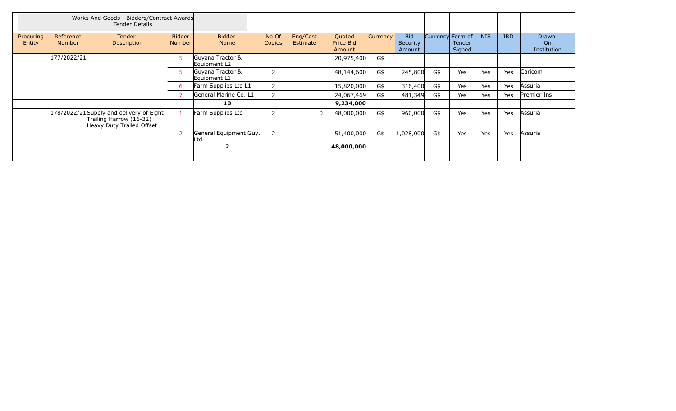|                     |                            | Works And Goods - Bidders/Contract Awards<br><b>Tender Details</b>                               |                                |                                  |                 |                      |                               |                 |                                  |     |                                             |            |            |                            |
|---------------------|----------------------------|--------------------------------------------------------------------------------------------------|--------------------------------|----------------------------------|-----------------|----------------------|-------------------------------|-----------------|----------------------------------|-----|---------------------------------------------|------------|------------|----------------------------|
| Procuring<br>Entity | Reference<br><b>Number</b> | <b>Tender</b><br>Description                                                                     | <b>Bidder</b><br><b>Number</b> | <b>Bidder</b><br><b>Name</b>     | No Of<br>Copies | Eng/Cost<br>Estimate | Quoted<br>Price Bid<br>Amount | <b>Currency</b> | <b>Bid</b><br>Security<br>Amount |     | Currency Form of<br><b>Tender</b><br>Signed | <b>NIS</b> | <b>IRD</b> | Drawn<br>On<br>Institution |
|                     | 177/2022/21                |                                                                                                  | 5                              | Guyana Tractor &<br>Equipment L2 |                 |                      | 20,975,400                    | G\$             |                                  |     |                                             |            |            |                            |
|                     |                            |                                                                                                  | 5.                             | Guyana Tractor &<br>Equipment L1 | $\overline{2}$  |                      | 48,144,600                    | G\$             | 245,800                          | G\$ | Yes                                         | Yes        | Yes        | Caricom                    |
|                     |                            |                                                                                                  | 6                              | Farm Supplies Ltd L1             | $\overline{2}$  |                      | 15,820,000                    | G\$             | 316,400                          | G\$ | Yes                                         | Yes        | Yes        | Assuria                    |
|                     |                            |                                                                                                  |                                | General Marine Co. L1            | $\overline{2}$  |                      | 24,067,469                    | G\$             | 481,349                          | G\$ | Yes                                         | Yes        | Yes        | Premier Ins                |
|                     |                            |                                                                                                  |                                | 10                               |                 |                      | 9,234,000                     |                 |                                  |     |                                             |            |            |                            |
|                     |                            | 178/2022/21 Supply and delivery of Eight<br>Trailing Harrow (16-32)<br>Heavy Duty Trailed Offset |                                | Farm Supplies Ltd                | $\overline{2}$  |                      | 48,000,000                    | G\$             | 960,000                          | G\$ | Yes                                         | Yes        | Yes        | Assuria                    |
|                     |                            |                                                                                                  | $\overline{2}$                 | General Equipment Guy.<br>.td    | $\overline{2}$  |                      | 51,400,000                    | G\$             | 1,028,000                        | G\$ | Yes                                         | Yes        | Yes        | Assuria                    |
|                     |                            |                                                                                                  |                                | $\mathbf{2}$                     |                 |                      | 48,000,000                    |                 |                                  |     |                                             |            |            |                            |
|                     |                            |                                                                                                  |                                |                                  |                 |                      |                               |                 |                                  |     |                                             |            |            |                            |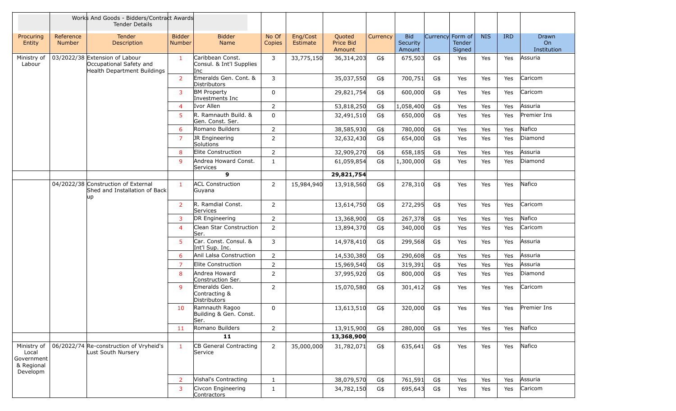|                                                              |                            | Works And Goods - Bidders/Contract Awards<br><b>Tender Details</b>                       |                         |                                                     |                 |                      |                               |          |                                  |     |                                      |            |            |                            |
|--------------------------------------------------------------|----------------------------|------------------------------------------------------------------------------------------|-------------------------|-----------------------------------------------------|-----------------|----------------------|-------------------------------|----------|----------------------------------|-----|--------------------------------------|------------|------------|----------------------------|
| Procuring<br>Entity                                          | Reference<br><b>Number</b> | <b>Tender</b><br>Description                                                             | <b>Bidder</b><br>Number | <b>Bidder</b><br><b>Name</b>                        | No Of<br>Copies | Eng/Cost<br>Estimate | Quoted<br>Price Bid<br>Amount | Currency | <b>Bid</b><br>Security<br>Amount |     | Currency Form of<br>Tender<br>Signed | <b>NIS</b> | <b>IRD</b> | Drawn<br>On<br>Institution |
| Ministry of<br>Labour                                        |                            | 03/2022/38 Extension of Labour<br>Occupational Safety and<br>Health Department Buildings | $\mathbf{1}$            | Caribbean Const.<br>Consul. & Int'l Supplies<br>Inc | 3               | 33,775,150           | 36,314,203                    | G\$      | 675,503                          | G\$ | Yes                                  | Yes        | Yes        | Assuria                    |
|                                                              |                            |                                                                                          | 2                       | Emeralds Gen. Cont. &<br><b>Distributors</b>        | 3               |                      | 35,037,550                    | G\$      | 700,751                          | G\$ | Yes                                  | Yes        | Yes        | Caricom                    |
|                                                              |                            |                                                                                          | 3                       | <b>BM Property</b><br>Investments Inc               | $\mathbf{0}$    |                      | 29,821,754                    | G\$      | 600,000                          | G\$ | Yes                                  | Yes        | Yes        | Caricom                    |
|                                                              |                            |                                                                                          | $\overline{4}$          | Ivor Allen                                          | $\overline{2}$  |                      | 53,818,250                    | G\$      | 1,058,400                        | G\$ | Yes                                  | Yes        | Yes        | Assuria                    |
|                                                              |                            |                                                                                          | 5                       | R. Ramnauth Build. &<br>Gen. Const. Ser.            | $\Omega$        |                      | 32,491,510                    | G\$      | 650,000                          | G\$ | Yes                                  | Yes        | Yes        | Premier Ins                |
|                                                              |                            |                                                                                          | 6                       | Romano Builders                                     | $\overline{2}$  |                      | 38,585,930                    | G\$      | 780,000                          | G\$ | Yes                                  | Yes        | Yes        | Nafico                     |
|                                                              |                            |                                                                                          | $\overline{7}$          | JR Engineering<br>Solutions                         | $\overline{2}$  |                      | 32,632,430                    | G\$      | 654,000                          | G\$ | Yes                                  | Yes        | Yes        | Diamond                    |
|                                                              |                            |                                                                                          | 8                       | Elite Construction                                  | $\overline{2}$  |                      | 32,909,270                    | G\$      | 658,185                          | G\$ | Yes                                  | Yes        | Yes        | Assuria                    |
|                                                              |                            |                                                                                          | 9                       | Andrea Howard Const.<br>Services                    | $\mathbf{1}$    |                      | 61,059,854                    | G\$      | 1,300,000                        | G\$ | Yes                                  | Yes        | Yes        | Diamond                    |
|                                                              |                            |                                                                                          |                         | 9                                                   |                 |                      | 29,821,754                    |          |                                  |     |                                      |            |            |                            |
|                                                              |                            | 04/2022/38 Construction of External<br>Shed and Installation of Back<br> up              | $\mathbf{1}$            | <b>ACL Construction</b><br>Guyana                   | $\overline{2}$  | 15,984,940           | 13,918,560                    | G\$      | 278,310                          | G\$ | Yes                                  | Yes        | Yes        | Nafico                     |
|                                                              |                            |                                                                                          | 2                       | R. Ramdial Const.<br>Services                       | $\overline{2}$  |                      | 13,614,750                    | G\$      | 272,295                          | G\$ | Yes                                  | Yes        | Yes        | Caricom                    |
|                                                              |                            |                                                                                          | 3                       | DR Engineering                                      | $\overline{2}$  |                      | 13,368,900                    | G\$      | 267,378                          | G\$ | Yes                                  | <b>Yes</b> | Yes        | Nafico                     |
|                                                              |                            |                                                                                          | $\overline{4}$          | Clean Star Construction<br>Ser.                     | $\overline{2}$  |                      | 13,894,370                    | G\$      | 340,000                          | G\$ | Yes                                  | Yes        | Yes        | Caricom                    |
|                                                              |                            |                                                                                          | 5                       | Car. Const. Consul. &<br>Int'l Sup. Inc.            | 3               |                      | 14,978,410                    | G\$      | 299,568                          | G\$ | Yes                                  | Yes        | Yes        | Assuria                    |
|                                                              |                            |                                                                                          | 6                       | Anil Lalsa Construction                             | $\overline{2}$  |                      | 14,530,380                    | G\$      | 290,608                          | G\$ | Yes                                  | Yes        | Yes        | Assuria                    |
|                                                              |                            |                                                                                          | 7                       | Elite Construction                                  | $\overline{2}$  |                      | 15,969,540                    | G\$      | 319,391                          | G\$ | Yes                                  | Yes        | Yes        | Assuria                    |
|                                                              |                            |                                                                                          | 8                       | Andrea Howard<br>Construction Ser.                  | $\overline{2}$  |                      | 37,995,920                    | G\$      | 800,000                          | G\$ | Yes                                  | Yes        | Yes        | Diamond                    |
|                                                              |                            |                                                                                          | 9                       | Emeralds Gen.<br>Contracting &<br>Distributors      | $\overline{2}$  |                      | 15,070,580                    | G\$      | 301,412                          | G\$ | Yes                                  | Yes        | Yes        | Caricom                    |
|                                                              |                            |                                                                                          | 10                      | Ramnauth Ragoo<br>Building & Gen. Const.<br>Ser.    | $\mathbf{0}$    |                      | 13,613,510                    | G\$      | 320,000                          | G\$ | Yes                                  | Yes        | Yes        | Premier Ins                |
|                                                              |                            |                                                                                          | 11                      | Romano Builders                                     | $2^{\circ}$     |                      | 13,915,900                    | G\$      | 280,000                          | G\$ | Yes                                  | Yes        | Yes        | Nafico                     |
|                                                              |                            |                                                                                          |                         | 11                                                  |                 |                      | 13,368,900                    |          |                                  |     |                                      |            |            |                            |
| Ministry of<br>Local<br>Government<br>& Regional<br>Developm |                            | 06/2022/74 Re-construction of Vryheid's<br>Lust South Nursery                            | $\mathbf{1}$            | CB General Contracting<br>Service                   | $\overline{2}$  | 35,000,000           | 31,782,071                    | G\$      | 635,641                          | G\$ | Yes                                  | Yes        | Yes        | Nafico                     |
|                                                              |                            |                                                                                          | $\overline{2}$          | Vishal's Contracting                                | $\mathbf{1}$    |                      | 38,079,570                    | G\$      | 761,591                          | G\$ | Yes                                  | Yes        | Yes        | Assuria                    |
|                                                              |                            |                                                                                          | 3                       | Civcon Engineering<br>Contractors                   | $\mathbf{1}$    |                      | 34,782,150                    | G\$      | 695,643                          | G\$ | Yes                                  | Yes        | Yes        | Caricom                    |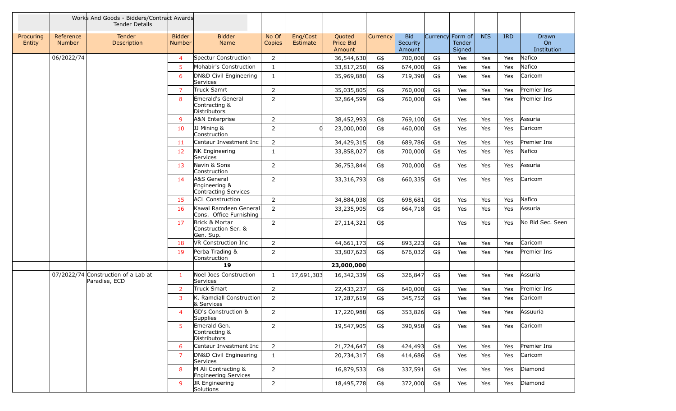|                     |                            | Works And Goods - Bidders/Contract Awards<br><b>Tender Details</b> |                         |                                                      |                 |                      |                                      |          |                                  |                  |                  |            |            |                                        |
|---------------------|----------------------------|--------------------------------------------------------------------|-------------------------|------------------------------------------------------|-----------------|----------------------|--------------------------------------|----------|----------------------------------|------------------|------------------|------------|------------|----------------------------------------|
| Procuring<br>Entity | Reference<br><b>Number</b> | Tender<br>Description                                              | <b>Bidder</b><br>Number | <b>Bidder</b><br>Name                                | No Of<br>Copies | Eng/Cost<br>Estimate | Quoted<br><b>Price Bid</b><br>Amount | Currency | <b>Bid</b><br>Security<br>Amount | Currency Form of | Tender<br>Signed | <b>NIS</b> | <b>IRD</b> | Drawn<br>O <sub>n</sub><br>Institution |
|                     | 06/2022/74                 |                                                                    | $\overline{4}$          | Spectur Construction                                 | $\overline{2}$  |                      | 36,544,630                           | G\$      | 700,000                          | G\$              | Yes              | Yes        | Yes        | Nafico                                 |
|                     |                            |                                                                    | $\overline{5}$          | Mohabir's Construction                               | $\mathbf{1}$    |                      | 33,817,250                           | G\$      | 674,000                          | G\$              | Yes              | Yes        | Yes        | Nafico                                 |
|                     |                            |                                                                    | 6                       | DN&D Civil Engineering<br>Services                   | $\mathbf{1}$    |                      | 35,969,880                           | G\$      | 719,398                          | G\$              | Yes              | Yes        | Yes        | Caricom                                |
|                     |                            |                                                                    | $\overline{7}$          | Truck Samrt                                          | $\overline{2}$  |                      | 35,035,805                           | G\$      | 760,000                          | G\$              | Yes              | Yes        | Yes        | Premier Ins                            |
|                     |                            |                                                                    | 8                       | Emerald's General<br>Contracting &<br>Distributors   | $\overline{2}$  |                      | 32,864,599                           | G\$      | 760,000                          | G\$              | Yes              | Yes        | Yes        | Premier Ins                            |
|                     |                            |                                                                    | 9                       | A&N Enterprise                                       | $\overline{2}$  |                      | 38,452,993                           | G\$      | 769,100                          | G\$              | Yes              | Yes        | Yes        | Assuria                                |
|                     |                            |                                                                    | 10                      | JJ Mining &<br>Construction                          | $\overline{2}$  |                      | 23,000,000                           | G\$      | 460,000                          | G\$              | Yes              | Yes        | Yes        | Caricom                                |
|                     |                            |                                                                    | 11                      | Centaur Investment Inc                               | $\overline{2}$  |                      | 34,429,315                           | G\$      | 689,786                          | G\$              | Yes              | Yes        | Yes        | Premier Ins                            |
|                     |                            |                                                                    | 12                      | NK Engineering<br>Services                           | $\mathbf{1}$    |                      | 33,858,027                           | G\$      | 700,000                          | G\$              | Yes              | Yes        | Yes        | Nafico                                 |
|                     |                            |                                                                    | 13                      | Navin & Sons<br>Construction                         | $\overline{2}$  |                      | 36,753,844                           | G\$      | 700,000                          | G\$              | Yes              | Yes        | Yes        | Assuria                                |
|                     |                            |                                                                    | 14                      | A&S General<br>Engineering &<br>Contracting Services | $\overline{2}$  |                      | 33,316,793                           | G\$      | 660,335                          | G\$              | Yes              | Yes        | Yes        | Caricom                                |
|                     |                            |                                                                    | 15                      | <b>ACL Construction</b>                              | $\overline{2}$  |                      | 34,884,038                           | G\$      | 698,681                          | G\$              | Yes              | Yes        | Yes        | Nafico                                 |
|                     |                            |                                                                    | 16                      | Kawal Ramdeen General<br>Cons. Office Furnishing     | $\overline{2}$  |                      | 33,235,905                           | G\$      | 664,718                          | G\$              | Yes              | Yes        | Yes        | Assuria                                |
|                     |                            |                                                                    | 17                      | Brick & Mortar<br>Construction Ser. &<br>Gen. Sup.   | $\overline{2}$  |                      | 27,114,321                           | G\$      |                                  |                  | Yes              | Yes        | Yes        | No Bid Sec. Seen                       |
|                     |                            |                                                                    | 18                      | <b>VR Construction Inc.</b>                          | $\overline{2}$  |                      | 44,661,173                           | G\$      | 893,223                          | G\$              | Yes              | Yes        | Yes        | Caricom                                |
|                     |                            |                                                                    | 19                      | Perba Trading &<br>Construction                      | $\overline{2}$  |                      | 33,807,623                           | G\$      | 676,032                          | G\$              | Yes              | Yes        | Yes        | Premier Ins                            |
|                     |                            |                                                                    |                         | 19                                                   |                 |                      | 23,000,000                           |          |                                  |                  |                  |            |            |                                        |
|                     |                            | 07/2022/74 Construction of a Lab at<br>Paradise, ECD               | $\mathbf{1}$            | Noel Joes Construction<br>Services                   | $\mathbf{1}$    | 17,691,303           | 16,342,339                           | G\$      | 326,847                          | G\$              | Yes              | Yes        | Yes        | Assuria                                |
|                     |                            |                                                                    | $\overline{2}$          | Truck Smart                                          | $\overline{2}$  |                      | 22,433,237                           | G\$      | 640,000                          | G\$              | Yes              | Yes        | Yes        | Premier Ins                            |
|                     |                            |                                                                    | 3                       | K. Ramdiall Construction<br>& Services               | $\overline{2}$  |                      | 17,287,619                           | G\$      | 345,752                          | G\$              | Yes              | Yes        | Yes        | Caricom                                |
|                     |                            |                                                                    | $\overline{4}$          | GD's Construction &<br>Supplies                      | $\mathcal{P}$   |                      | 17,220,988                           | G\$      | 353,826                          | G\$              | Yes              | Yes        | Yes        | Assuuria                               |
|                     |                            |                                                                    | 5                       | Emerald Gen.<br>Contracting &<br>Distributors        | $2^{\circ}$     |                      | 19,547,905                           | G\$      | 390,958                          | G\$              | Yes              | Yes        | Yes        | Caricom                                |
|                     |                            |                                                                    | 6                       | Centaur Investment Inc                               | $2^{\circ}$     |                      | 21,724,647                           | G\$      | 424,493                          | G\$              | Yes              | Yes        | Yes        | Premier Ins                            |
|                     |                            |                                                                    | 7                       | DN&D Civil Engineering<br>Services                   | $\mathbf{1}$    |                      | 20,734,317                           | G\$      | 414,686                          | G\$              | Yes              | Yes        | Yes        | Caricom                                |
|                     |                            |                                                                    | 8                       | M Ali Contracting &<br><b>Engineering Services</b>   | $2^{\circ}$     |                      | 16,879,533                           | G\$      | 337,591                          | G\$              | Yes              | Yes        | Yes        | Diamond                                |
|                     |                            |                                                                    | 9                       | JR Engineering<br>Solutions                          | $\overline{2}$  |                      | 18,495,778                           | G\$      | 372,000                          | G\$              | Yes              | Yes        | Yes        | Diamond                                |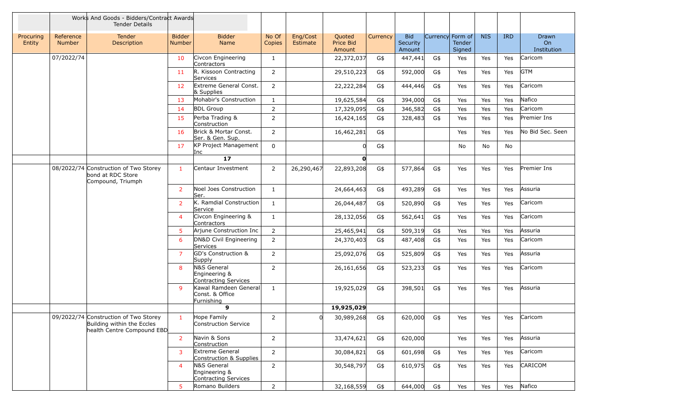|                     |                            | Works And Goods - Bidders/Contract Awards<br><b>Tender Details</b>                                |                                |                                                        |                 |                      |                                      |          |                                  |     |                                      |            |            |                                        |
|---------------------|----------------------------|---------------------------------------------------------------------------------------------------|--------------------------------|--------------------------------------------------------|-----------------|----------------------|--------------------------------------|----------|----------------------------------|-----|--------------------------------------|------------|------------|----------------------------------------|
| Procuring<br>Entity | Reference<br><b>Number</b> | Tender<br>Description                                                                             | <b>Bidder</b><br><b>Number</b> | <b>Bidder</b><br>Name                                  | No Of<br>Copies | Eng/Cost<br>Estimate | Quoted<br><b>Price Bid</b><br>Amount | Currency | <b>Bid</b><br>Security<br>Amount |     | Currency Form of<br>Tender<br>Signed | <b>NIS</b> | <b>IRD</b> | Drawn<br>O <sub>n</sub><br>Institution |
|                     | 07/2022/74                 |                                                                                                   | 10                             | Civcon Engineering<br>Contractors                      | $\mathbf{1}$    |                      | 22,372,037                           | G\$      | 447,441                          | G\$ | Yes                                  | Yes        | Yes        | Caricom                                |
|                     |                            |                                                                                                   | 11                             | R. Kissoon Contracting<br>Services                     | $\mathbf{2}$    |                      | 29,510,223                           | G\$      | 592,000                          | G\$ | Yes                                  | Yes        | Yes        | <b>GTM</b>                             |
|                     |                            |                                                                                                   | 12                             | Extreme General Const.<br>& Supplies                   | $\overline{2}$  |                      | 22,222,284                           | G\$      | 444,446                          | G\$ | Yes                                  | Yes        | Yes        | Caricom                                |
|                     |                            |                                                                                                   | 13                             | Mohabir's Construction                                 | $\mathbf{1}$    |                      | 19,625,584                           | G\$      | 394,000                          | G\$ | Yes                                  | Yes        | Yes        | Nafico                                 |
|                     |                            |                                                                                                   | 14                             | <b>BDL Group</b>                                       | $\overline{2}$  |                      | 17,329,095                           | G\$      | 346,582                          | G\$ | Yes                                  | Yes        | Yes        | Caricom                                |
|                     |                            |                                                                                                   | 15                             | Perba Trading &<br>Construction                        | $\overline{2}$  |                      | 16,424,165                           | G\$      | 328,483                          | G\$ | Yes                                  | Yes        | Yes        | Premier Ins                            |
|                     |                            |                                                                                                   | 16                             | Brick & Mortar Const.<br>Ser. & Gen. Sup.              | $\overline{2}$  |                      | 16,462,281                           | G\$      |                                  |     | Yes                                  | Yes        | Yes        | No Bid Sec. Seen                       |
|                     |                            |                                                                                                   | 17                             | KP Project Management<br>Inc                           | $\mathbf 0$     |                      |                                      | G\$      |                                  |     | No                                   | No         | No         |                                        |
|                     |                            |                                                                                                   |                                | $17$                                                   |                 |                      | $\mathbf{0}$                         |          |                                  |     |                                      |            |            |                                        |
|                     |                            | 08/2022/74 Construction of Two Storey<br>bond at RDC Store<br>Compound, Triumph                   | $\mathbf{1}$                   | Centaur Investment                                     | $\overline{2}$  | 26,290,467           | 22,893,208                           | G\$      | 577,864                          | G\$ | Yes                                  | Yes        | Yes        | Premier Ins                            |
|                     |                            |                                                                                                   | 2                              | Noel Joes Construction<br>Ser.                         | $\mathbf{1}$    |                      | 24,664,463                           | G\$      | 493,289                          | G\$ | Yes                                  | Yes        | Yes        | Assuria                                |
|                     |                            |                                                                                                   | $\overline{2}$                 | K. Ramdial Construction<br>Service                     | $\mathbf{1}$    |                      | 26,044,487                           | G\$      | 520,890                          | G\$ | Yes                                  | Yes        | Yes        | Caricom                                |
|                     |                            |                                                                                                   | $\overline{4}$                 | Civcon Engineering &<br>Contractors                    | $\mathbf{1}$    |                      | 28,132,056                           | G\$      | 562,641                          | G\$ | Yes                                  | Yes        | Yes        | Caricom                                |
|                     |                            |                                                                                                   | 5                              | Arjune Construction Inc                                | $\overline{2}$  |                      | 25,465,941                           | G\$      | 509,319                          | G\$ | Yes                                  | Yes        | Yes        | Assuria                                |
|                     |                            |                                                                                                   | 6                              | DN&D Civil Engineering<br>Services                     | $\overline{2}$  |                      | 24,370,403                           | G\$      | 487,408                          | G\$ | Yes                                  | Yes        | Yes        | Caricom                                |
|                     |                            |                                                                                                   | $\overline{7}$                 | GD's Construction &<br>Supply                          | $\overline{2}$  |                      | 25,092,076                           | G\$      | 525,809                          | G\$ | Yes                                  | Yes        | Yes        | Assuria                                |
|                     |                            |                                                                                                   | 8                              | N&S General<br>Engineering &<br>Contracting Services   | $\overline{2}$  |                      | 26,161,656                           | G\$      | 523,233                          | G\$ | Yes                                  | Yes        | Yes        | Caricom                                |
|                     |                            |                                                                                                   | 9                              | Kawal Ramdeen General<br>Const. & Office<br>Furnishing | $\mathbf{1}$    |                      | 19,925,029                           | G\$      | 398,501                          | G\$ | Yes                                  | Yes        | Yes        | Assuria                                |
|                     |                            |                                                                                                   |                                | 9                                                      |                 |                      | 19,925,029                           |          |                                  |     |                                      |            |            |                                        |
|                     |                            | 09/2022/74 Construction of Two Storey<br>Building within the Eccles<br>health Centre Compound EBD | $\mathbf{1}$                   | Hope Family<br>Construction Service                    | $\overline{2}$  |                      | 30,989,268                           | G\$      | 620,000                          | G\$ | Yes                                  | Yes        | Yes        | Caricom                                |
|                     |                            |                                                                                                   | $\overline{2}$                 | Navin & Sons<br>Construction                           | $\overline{2}$  |                      | 33,474,621                           | G\$      | 620,000                          |     | Yes                                  | Yes        | Yes        | Assuria                                |
|                     |                            |                                                                                                   | 3                              | Extreme General<br>Construction & Supplies             | $2^{\circ}$     |                      | 30,084,821                           | G\$      | 601,698                          | G\$ | Yes                                  | Yes        | Yes        | Caricom                                |
|                     |                            |                                                                                                   | $\overline{4}$                 | N&S General<br>Engineering &<br>Contracting Services   | $\overline{2}$  |                      | 30,548,797                           | G\$      | 610,975                          | G\$ | Yes                                  | Yes        | Yes        | CARICOM                                |
|                     |                            |                                                                                                   | 5                              | Romano Builders                                        | $\overline{2}$  |                      | 32,168,559                           | G\$      | 644,000                          | G\$ | Yes                                  | Yes        | Yes        | Nafico                                 |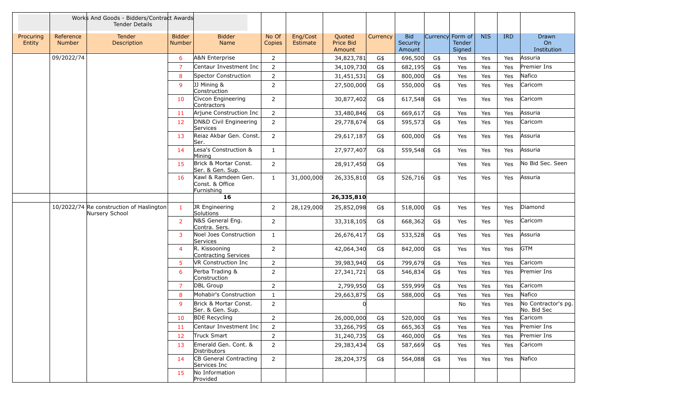|                     |                            | Works And Goods - Bidders/Contract Awards<br><b>Tender Details</b> |                         |                                                      |                 |                      |                               |          |                                  |                  |                  |            |      |                                    |
|---------------------|----------------------------|--------------------------------------------------------------------|-------------------------|------------------------------------------------------|-----------------|----------------------|-------------------------------|----------|----------------------------------|------------------|------------------|------------|------|------------------------------------|
| Procuring<br>Entity | Reference<br><b>Number</b> | <b>Tender</b><br>Description                                       | <b>Bidder</b><br>Number | <b>Bidder</b><br>Name                                | No Of<br>Copies | Eng/Cost<br>Estimate | Quoted<br>Price Bid<br>Amount | Currency | <b>Bid</b><br>Security<br>Amount | Currency Form of | Tender<br>Signed | <b>NIS</b> | IRD. | Drawn<br>On<br>Institution         |
|                     | 09/2022/74                 |                                                                    | 6                       | A&N Enterprise                                       | $\overline{2}$  |                      | 34,823,781                    | G\$      | 696,500                          | G\$              | Yes              | Yes        | Yes  | Assuria                            |
|                     |                            |                                                                    | $\overline{7}$          | Centaur Investment Inc                               | $\overline{2}$  |                      | 34,109,730                    | G\$      | 682,195                          | G\$              | Yes              | Yes        | Yes  | Premier Ins                        |
|                     |                            |                                                                    | 8                       | Spector Construction                                 | 2               |                      | 31,451,531                    | G\$      | 800,000                          | G\$              | Yes              | Yes        | Yes  | Nafico                             |
|                     |                            |                                                                    | -9                      | JJ Mining &<br>Construction                          | $\overline{2}$  |                      | 27,500,000                    | G\$      | 550,000                          | G\$              | Yes              | Yes        | Yes  | Caricom                            |
|                     |                            |                                                                    | 10                      | Civcon Engineering<br>Contractors                    | $\overline{2}$  |                      | 30,877,402                    | G\$      | 617,548                          | G\$              | Yes              | Yes        | Yes  | Caricom                            |
|                     |                            |                                                                    | 11                      | Arjune Construction Inc                              | $2^{\circ}$     |                      | 33,480,846                    | G\$      | 669,617                          | G\$              | Yes              | Yes        | Yes  | Assuria                            |
|                     |                            |                                                                    | 12                      | DN&D Civil Engineering<br>Services                   | $\overline{2}$  |                      | 29,778,674                    | G\$      | 595,573                          | G\$              | Yes              | Yes        | Yes  | Caricom                            |
|                     |                            |                                                                    | 13                      | Reiaz Akbar Gen. Const.<br>lSer.                     | $\overline{2}$  |                      | 29,617,187                    | G\$      | 600,000                          | G\$              | Yes              | Yes        | Yes  | Assuria                            |
|                     |                            |                                                                    | 14                      | Lesa's Construction &<br>Mining                      | $\mathbf{1}$    |                      | 27,977,407                    | G\$      | 559,548                          | G\$              | Yes              | Yes        | Yes  | Assuria                            |
|                     |                            |                                                                    | 15                      | Brick & Mortar Const.<br>Ser. & Gen. Sup.            | $2^{\circ}$     |                      | 28,917,450                    | G\$      |                                  |                  | Yes              | Yes        | Yes  | No Bid Sec. Seen                   |
|                     |                            |                                                                    | 16                      | Kawl & Ramdeen Gen.<br>Const. & Office<br>Furnishing | $\mathbf{1}$    | 31,000,000           | 26,335,810                    | G\$      | 526,716                          | G\$              | Yes              | Yes        | Yes  | Assuria                            |
|                     |                            |                                                                    |                         | 16                                                   |                 |                      | 26,335,810                    |          |                                  |                  |                  |            |      |                                    |
|                     |                            | 10/2022/74 Re construction of Haslington<br>Nursery School         | $\mathbf{1}$            | JR Engineering<br>Solutions                          | $\overline{2}$  | 28,129,000           | 25,852,098                    | G\$      | 518,000                          | G\$              | Yes              | Yes        | Yes  | Diamond                            |
|                     |                            |                                                                    | $\overline{2}$          | N&S General Eng.<br>Contra. Sers.                    | $\overline{2}$  |                      | 33,318,105                    | G\$      | 668,362                          | G\$              | Yes              | Yes        | Yes  | Caricom                            |
|                     |                            |                                                                    | 3                       | Noel Joes Construction<br>Services                   | $\mathbf{1}$    |                      | 26,676,417                    | G\$      | 533,528                          | G\$              | Yes              | Yes        | Yes  | Assuria                            |
|                     |                            |                                                                    | $\overline{4}$          | R. Kissooning<br>Contracting Services                | $\overline{2}$  |                      | 42,064,340                    | G\$      | 842,000                          | G\$              | Yes              | Yes        | Yes  | <b>GTM</b>                         |
|                     |                            |                                                                    | 5                       | <b>VR Construction Inc</b>                           | $\overline{2}$  |                      | 39,983,940                    | G\$      | 799,679                          | G\$              | Yes              | Yes        | Yes  | Caricom                            |
|                     |                            |                                                                    | 6                       | Perba Trading &<br>Construction                      | $\overline{2}$  |                      | 27,341,721                    | G\$      | 546,834                          | G\$              | Yes              | Yes        | Yes  | Premier Ins                        |
|                     |                            |                                                                    | $\overline{7}$          | DBL Group                                            | $\overline{2}$  |                      | 2,799,950                     | G\$      | 559,999                          | G\$              | Yes              | Yes        | Yes  | Caricom                            |
|                     |                            |                                                                    | 8                       | Mohabir's Construction                               | $\mathbf{1}$    |                      | 29,663,875                    | G\$      | 588,000                          | G\$              | Yes              | Yes        | Yes  | Nafico                             |
|                     |                            |                                                                    | 9                       | Brick & Mortar Const.<br>Ser. & Gen. Sup.            | $\overline{2}$  |                      |                               |          |                                  |                  | No               | Yes        | Yes  | No Contractor's pg.<br>No. Bid Sec |
|                     |                            |                                                                    | 10                      | <b>BDE Recycling</b>                                 | 2               |                      | 26,000,000                    | G\$      | 520,000                          | G\$              | Yes              | Yes        | Yes  | Caricom                            |
|                     |                            |                                                                    | 11                      | Centaur Investment Inc                               | $\overline{2}$  |                      | 33,266,795                    | G\$      | 665,363                          | G\$              | Yes              | Yes        | Yes  | Premier Ins                        |
|                     |                            |                                                                    | 12                      | Truck Smart                                          | $\overline{2}$  |                      | 31,240,735                    | G\$      | 460,000                          | G\$              | Yes              | Yes        | Yes  | Premier Ins                        |
|                     |                            |                                                                    | 13                      | Emerald Gen. Cont. &<br>Distributors                 | $\overline{2}$  |                      | 29,383,434                    | G\$      | 587,669                          | G\$              | Yes              | Yes        | Yes  | Caricom                            |
|                     |                            |                                                                    | 14                      | CB General Contracting<br>Services Inc               | $\overline{2}$  |                      | 28,204,375                    | G\$      | 564,088                          | G\$              | Yes              | Yes        | Yes  | Nafico                             |
|                     |                            |                                                                    | 15                      | No Information<br>Provided                           |                 |                      |                               |          |                                  |                  |                  |            |      |                                    |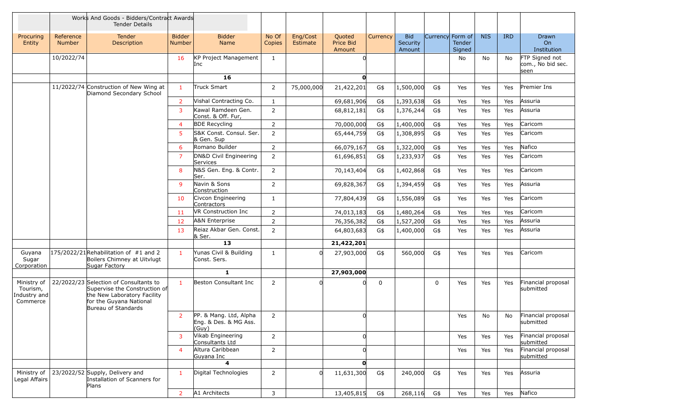|                                                     |                            | Works And Goods - Bidders/Contract Awards<br><b>Tender Details</b>                                                                                       |                                |                                                          |                 |                      |                               |          |                                  |                  |                  |            |            |                                             |
|-----------------------------------------------------|----------------------------|----------------------------------------------------------------------------------------------------------------------------------------------------------|--------------------------------|----------------------------------------------------------|-----------------|----------------------|-------------------------------|----------|----------------------------------|------------------|------------------|------------|------------|---------------------------------------------|
| Procuring<br>Entity                                 | Reference<br><b>Number</b> | <b>Tender</b><br>Description                                                                                                                             | <b>Bidder</b><br><b>Number</b> | <b>Bidder</b><br>Name                                    | No Of<br>Copies | Eng/Cost<br>Estimate | Quoted<br>Price Bid<br>Amount | Currency | <b>Bid</b><br>Security<br>Amount | Currency Form of | Tender<br>Signed | <b>NIS</b> | <b>IRD</b> | Drawn<br>O <sub>n</sub><br>Institution      |
|                                                     | 10/2022/74                 |                                                                                                                                                          | 16                             | KP Project Management<br>Inc                             | $\mathbf{1}$    |                      |                               |          |                                  |                  | No               | No         | No         | FTP Signed not<br>com., No bid sec.<br>seen |
|                                                     |                            |                                                                                                                                                          |                                | 16                                                       |                 |                      | $\mathbf{O}$                  |          |                                  |                  |                  |            |            |                                             |
|                                                     |                            | 11/2022/74 Construction of New Wing at<br>Diamond Secondary School                                                                                       | $\mathbf{1}$                   | Truck Smart                                              | $\overline{2}$  | 75,000,000           | 21,422,201                    | G\$      | 1,500,000                        | G\$              | Yes              | Yes        | Yes        | Premier Ins                                 |
|                                                     |                            |                                                                                                                                                          | 2                              | Vishal Contracting Co.                                   | $\mathbf{1}$    |                      | 69,681,906                    | G\$      | 1,393,638                        | G\$              | Yes              | Yes        | Yes        | Assuria                                     |
|                                                     |                            |                                                                                                                                                          | 3                              | Kawal Ramdeen Gen.<br>Const. & Off. Fur,                 | $\overline{2}$  |                      | 68,812,181                    | G\$      | 1,376,244                        | G\$              | Yes              | Yes        | Yes        | Assuria                                     |
|                                                     |                            |                                                                                                                                                          | $\overline{4}$                 | <b>BDE Recycling</b>                                     | $\overline{2}$  |                      | 70,000,000                    | G\$      | 1,400,000                        | G\$              | Yes              | Yes        | Yes        | Caricom                                     |
|                                                     |                            |                                                                                                                                                          | 5                              | S&K Const. Consul. Ser.<br>& Gen. Sup                    | $\overline{2}$  |                      | 65,444,759                    | G\$      | 1,308,895                        | G\$              | Yes              | Yes        | Yes        | Caricom                                     |
|                                                     |                            |                                                                                                                                                          | 6                              | Romano Builder                                           | $\overline{2}$  |                      | 66,079,167                    | G\$      | 1,322,000                        | G\$              | Yes              | Yes        | Yes        | Nafico                                      |
|                                                     |                            |                                                                                                                                                          | $\overline{7}$                 | DN&D Civil Engineering<br>Services                       | 2               |                      | 61,696,851                    | G\$      | 1,233,937                        | G\$              | Yes              | Yes        | Yes        | Caricom                                     |
|                                                     |                            |                                                                                                                                                          | 8                              | N&S Gen. Eng. & Contr.<br>Ser.                           | $\overline{2}$  |                      | 70,143,404                    | G\$      | 1,402,868                        | G\$              | Yes              | Yes        | Yes        | Caricom                                     |
|                                                     |                            |                                                                                                                                                          | 9                              | Navin & Sons<br>Construction                             | $\overline{2}$  |                      | 69,828,367                    | G\$      | 1,394,459                        | G\$              | Yes              | Yes        | Yes        | Assuria                                     |
|                                                     |                            |                                                                                                                                                          | 10                             | Civcon Engineering<br>Contractors                        | $\mathbf{1}$    |                      | 77,804,439                    | G\$      | 1,556,089                        | G\$              | Yes              | Yes        | Yes        | Caricom                                     |
|                                                     |                            |                                                                                                                                                          | 11                             | VR Construction Inc                                      | $\overline{2}$  |                      | 74,013,183                    | G\$      | 1,480,264                        | G\$              | Yes              | Yes        | Yes        | Caricom                                     |
|                                                     |                            |                                                                                                                                                          | 12                             | A&N Enterprise                                           | $\overline{2}$  |                      | 76,356,382                    | G\$      | 1,527,200                        | G\$              | Yes              | Yes        | Yes        | Assuria                                     |
|                                                     |                            |                                                                                                                                                          | 13                             | Reiaz Akbar Gen. Const.<br>& Ser.                        | $\overline{2}$  |                      | 64,803,683                    | G\$      | 1,400,000                        | G\$              | Yes              | Yes        | Yes        | Assuria                                     |
|                                                     |                            |                                                                                                                                                          |                                | 13                                                       |                 |                      | 21,422,201                    |          |                                  |                  |                  |            |            |                                             |
| Guyana<br>Sugar<br>Corporation                      |                            | $175/2022/21$ Rehabilitation of #1 and 2<br>Boilers Chimney at Uitvlugt<br>Sugar Factory                                                                 | 1                              | Yunas Civil & Building<br>Const. Sers.                   | 1               |                      | 27,903,000                    | G\$      | 560,000                          | G\$              | Yes              | Yes        | Yes        | Caricom                                     |
|                                                     |                            |                                                                                                                                                          |                                | $\mathbf{1}$                                             |                 |                      | 27,903,000                    |          |                                  |                  |                  |            |            |                                             |
| Ministry of<br>Tourism,<br>Industry and<br>Commerce |                            | 22/2022/23 Selection of Consultants to<br>Supervise the Construction of<br>the New Laboratory Facility<br>for the Guyana National<br>Bureau of Standards | $\mathbf{1}$                   | Beston Consultant Inc                                    | $\overline{2}$  |                      |                               | 0        |                                  | 0                | Yes              | Yes        | Yes        | Financial proposal<br>submitted             |
|                                                     |                            |                                                                                                                                                          | 2                              | PP. & Mang. Ltd, Alpha<br>Eng. & Des. & MG Ass.<br>(Guy) | $\overline{2}$  |                      | 0                             |          |                                  |                  | Yes              | No         | No         | Financial proposal<br>submitted             |
|                                                     |                            |                                                                                                                                                          | 3                              | Vikab Engineering<br>Consultants Ltd                     | $\overline{2}$  |                      | <sup>n</sup>                  |          |                                  |                  | Yes              | Yes        | Yes        | Financial proposal<br>submitted             |
|                                                     |                            |                                                                                                                                                          | $\overline{4}$                 | Altura Caribbean<br>Guyana Inc                           | $\overline{2}$  |                      |                               |          |                                  |                  | Yes              | Yes        | Yes        | Financial proposal<br>submitted             |
|                                                     |                            |                                                                                                                                                          |                                | 4                                                        |                 |                      | $\mathbf{0}$                  |          |                                  |                  |                  |            |            |                                             |
| Ministry of<br>Legal Affairs                        |                            | 23/2022/52 Supply, Delivery and<br>Installation of Scanners for<br>Plans                                                                                 | $\mathbf{1}$                   | Digital Technologies                                     | $2^{\circ}$     | n                    | 11,631,300                    | G\$      | 240,000                          | G\$              | Yes              | Yes        | Yes        | Assuria                                     |
|                                                     |                            |                                                                                                                                                          | $\overline{2}$                 | A1 Architects                                            | $\mathbf{3}$    |                      | 13,405,815                    | G\$      | 268,116                          | G\$              | Yes              | Yes        | Yes        | Nafico                                      |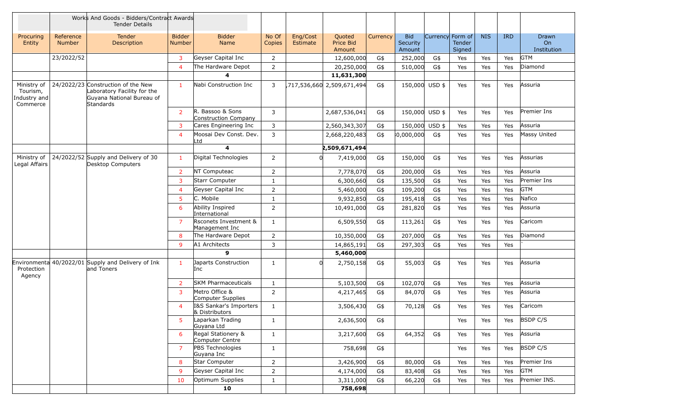|                                                     |                            | Works And Goods - Bidders/Contract Awards<br><b>Tender Details</b>                                                 |                                |                                          |                 |                      |                               |          |                                  |                  |                  |            |            |                                   |
|-----------------------------------------------------|----------------------------|--------------------------------------------------------------------------------------------------------------------|--------------------------------|------------------------------------------|-----------------|----------------------|-------------------------------|----------|----------------------------------|------------------|------------------|------------|------------|-----------------------------------|
| Procuring<br>Entity                                 | Reference<br><b>Number</b> | <b>Tender</b><br>Description                                                                                       | <b>Bidder</b><br><b>Number</b> | <b>Bidder</b><br><b>Name</b>             | No Of<br>Copies | Eng/Cost<br>Estimate | Quoted<br>Price Bid<br>Amount | Currency | <b>Bid</b><br>Security<br>Amount | Currency Form of | Tender<br>Signed | <b>NIS</b> | <b>IRD</b> | <b>Drawn</b><br>On<br>Institution |
|                                                     | 23/2022/52                 |                                                                                                                    | 3                              | Geyser Capital Inc                       | $\overline{2}$  |                      | 12,600,000                    | G\$      | 252,000                          | G\$              | Yes              | Yes        | Yes        | <b>GTM</b>                        |
|                                                     |                            |                                                                                                                    | $\overline{4}$                 | The Hardware Depot                       | $\overline{2}$  |                      | 20,250,000                    | G\$      | 510,000                          | G\$              | Yes              | Yes        | Yes        | Diamond                           |
|                                                     |                            |                                                                                                                    |                                | 4                                        |                 |                      | 11,631,300                    |          |                                  |                  |                  |            |            |                                   |
| Ministry of<br>Tourism,<br>Industry and<br>Commerce |                            | 24/2022/23 Construction of the New<br>Laboratory Facility for the<br>Guyana National Bureau of<br><b>Standards</b> | $\mathbf{1}$                   | Nabi Construction Inc                    | 3               |                      | ,717,536,660 2,509,671,494    | G\$      | 150,000 USD \$                   |                  | Yes              | Yes        | Yes        | Assuria                           |
|                                                     |                            |                                                                                                                    | 2                              | R. Bassoo & Sons<br>Construction Company | 3               |                      | 2,687,536,041                 | G\$      | 150,000 USD \$                   |                  | Yes              | Yes        | Yes        | Premier Ins                       |
|                                                     |                            |                                                                                                                    | 3                              | Cares Engineering Inc                    | 3               |                      | 2,560,343,307                 | G\$      | 150,000 USD \$                   |                  | Yes              | Yes        | Yes        | Assuria                           |
|                                                     |                            |                                                                                                                    | $\overline{4}$                 | Moosai Dev Const. Dev.<br>_td            | 3               |                      | 2,668,220,483                 | G\$      | 0,000,000                        | G\$              | Yes              | Yes        | Yes        | Massy United                      |
|                                                     |                            |                                                                                                                    |                                | $\overline{\mathbf{4}}$                  |                 |                      | 2,509,671,494                 |          |                                  |                  |                  |            |            |                                   |
| Ministry of<br>Legal Affairs                        |                            | 24/2022/52 Supply and Delivery of 30<br>Desktop Computers                                                          | -1                             | Digital Technologies                     | $\overline{2}$  |                      | 7,419,000                     | G\$      | 150,000                          | G\$              | Yes              | Yes        | Yes        | Assurias                          |
|                                                     |                            |                                                                                                                    | $\overline{2}$                 | NT Computeac                             | $\overline{2}$  |                      | 7,778,070                     | G\$      | 200,000                          | G\$              | Yes              | Yes        | Yes        | Assuria                           |
|                                                     |                            |                                                                                                                    | 3                              | Starr Computer                           | $\mathbf{1}$    |                      | 6,300,660                     | G\$      | 135,500                          | G\$              | Yes              | Yes        | Yes        | Premier Ins                       |
|                                                     |                            |                                                                                                                    | $\overline{4}$                 | Geyser Capital Inc                       | $\overline{2}$  |                      | 5,460,000                     | G\$      | 109,200                          | G\$              | Yes              | Yes        | Yes        | <b>GTM</b>                        |
|                                                     |                            |                                                                                                                    | 5                              | C. Mobile                                | $\mathbf{1}$    |                      | 9,932,850                     | G\$      | 195,418                          | G\$              | Yes              | Yes        | Yes        | Nafico                            |
|                                                     |                            |                                                                                                                    | 6                              | Ability Inspired<br>International        | $\overline{2}$  |                      | 10,491,000                    | G\$      | 281,820                          | G\$              | Yes              | Yes        | Yes        | Assuria                           |
|                                                     |                            |                                                                                                                    | $\overline{7}$                 | Rsconets Investment &<br>Management Inc  | 1               |                      | 6,509,550                     | G\$      | 113,261                          | G\$              | Yes              | Yes        | Yes        | Caricom                           |
|                                                     |                            |                                                                                                                    | 8                              | The Hardware Depot                       | $\overline{2}$  |                      | 10,350,000                    | G\$      | 207,000                          | G\$              | Yes              | Yes        | Yes        | Diamond                           |
|                                                     |                            |                                                                                                                    | 9                              | A1 Architects                            | 3               |                      | 14,865,191                    | G\$      | 297,303                          | G\$              | Yes              | Yes        | Yes        |                                   |
|                                                     |                            |                                                                                                                    |                                | 9                                        |                 |                      | 5,460,000                     |          |                                  |                  |                  |            |            |                                   |
| Protection<br>Agency                                |                            | Environmenta 40/2022/01 Supply and Delivery of Ink<br>land Toners                                                  | $\mathbf{1}$                   | Japarts Construction<br>Inc              | 1               |                      | 2,750,158                     | G\$      | 55,003                           | G\$              | Yes              | Yes        | Yes        | Assuria                           |
|                                                     |                            |                                                                                                                    | $\overline{2}$                 | <b>SKM Pharmaceuticals</b>               | $\mathbf{1}$    |                      | 5,103,500                     | G\$      | 102,070                          | G\$              | Yes              | Yes        | Yes        | Assuria                           |
|                                                     |                            |                                                                                                                    | 3                              | Metro Office &<br>Computer Supplies      | $\overline{2}$  |                      | 4,217,465                     | G\$      | 84,070                           | G\$              | Yes              | Yes        | Yes        | Assuria                           |
|                                                     |                            |                                                                                                                    | $\overline{4}$                 | I&S Sankar's Importers<br>& Distributors | $\mathbf{1}$    |                      | 3,506,430                     | G\$      | 70,128                           | G\$              | Yes              | Yes        | Yes        | Caricom                           |
|                                                     |                            |                                                                                                                    | 5                              | Laparkan Trading<br>Guyana Ltd           | $\mathbf{1}$    |                      | 2,636,500                     | G\$      |                                  |                  | Yes              | Yes        | Yes        | <b>BSDP C/S</b>                   |
|                                                     |                            |                                                                                                                    | 6                              | Regal Stationery &<br>Computer Centre    | $\mathbf{1}$    |                      | 3,217,600                     | G\$      | 64,352                           | G\$              | Yes              | Yes        | Yes        | Assuria                           |
|                                                     |                            |                                                                                                                    | 7                              | PBS Technologies<br>Guyana Inc           | $\mathbf{1}$    |                      | 758,698                       | G\$      |                                  |                  | Yes              | Yes        | Yes        | <b>BSDP C/S</b>                   |
|                                                     |                            |                                                                                                                    | 8                              | Star Computer                            | 2 <sup>1</sup>  |                      | 3,426,900                     | G\$      | 80,000                           | G\$              | Yes              | Yes        | Yes        | Premier Ins                       |
|                                                     |                            |                                                                                                                    | 9                              | Geyser Capital Inc                       | $\overline{2}$  |                      | 4,174,000                     | G\$      | 83,408                           | G\$              | Yes              | Yes        | Yes        | <b>GTM</b>                        |
|                                                     |                            |                                                                                                                    | 10                             | Optimum Supplies                         | $\mathbf{1}$    |                      | 3,311,000                     | G\$      | 66,220                           | G\$              | Yes              | Yes        | Yes        | Premier INS.                      |
|                                                     |                            |                                                                                                                    |                                | 10                                       |                 |                      | 758,698                       |          |                                  |                  |                  |            |            |                                   |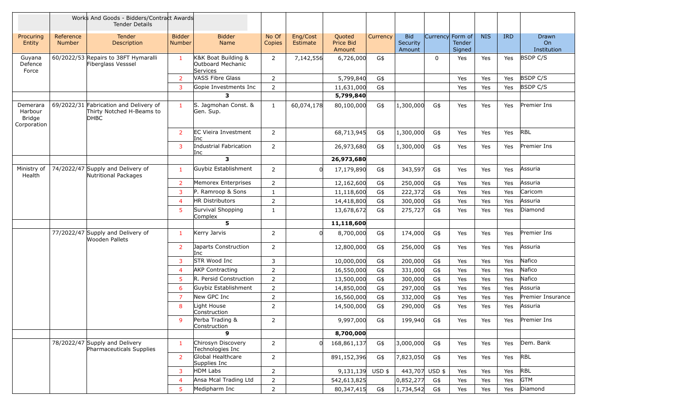|                                                     |                            | Works And Goods - Bidders/Contract Awards<br><b>Tender Details</b>          |                                |                                                      |                 |                      |                               |          |                                  |                  |                  |            |            |                            |
|-----------------------------------------------------|----------------------------|-----------------------------------------------------------------------------|--------------------------------|------------------------------------------------------|-----------------|----------------------|-------------------------------|----------|----------------------------------|------------------|------------------|------------|------------|----------------------------|
| Procuring<br>Entity                                 | Reference<br><b>Number</b> | <b>Tender</b><br>Description                                                | <b>Bidder</b><br><b>Number</b> | <b>Bidder</b><br><b>Name</b>                         | No Of<br>Copies | Eng/Cost<br>Estimate | Quoted<br>Price Bid<br>Amount | Currency | <b>Bid</b><br>Security<br>Amount | Currency Form of | Tender<br>Signed | <b>NIS</b> | <b>IRD</b> | Drawn<br>On<br>Institution |
| Guyana<br>Defence<br>Force                          |                            | 60/2022/53 Repairs to 38FT Hymaralli<br>Fiberglass Vesssel                  | -1                             | K&K Boat Building &<br>Outboard Mechanic<br>Services | $\overline{2}$  | 7,142,556            | 6,726,000                     | G\$      |                                  | $\mathbf 0$      | Yes              | Yes        | Yes        | <b>BSDP C/S</b>            |
|                                                     |                            |                                                                             | 2                              | VASS Fibre Glass                                     | $\overline{2}$  |                      | 5,799,840                     | G\$      |                                  |                  | Yes              | Yes        | Yes        | <b>BSDP C/S</b>            |
|                                                     |                            |                                                                             | 3                              | Gopie Investments Inc                                | $\overline{2}$  |                      | 11,631,000                    | G\$      |                                  |                  | Yes              | Yes        | Yes        | <b>BSDP C/S</b>            |
|                                                     |                            |                                                                             |                                | 3                                                    |                 |                      | 5,799,840                     |          |                                  |                  |                  |            |            |                            |
| Demerara<br>Harbour<br><b>Bridge</b><br>Corporation |                            | 69/2022/31 Fabrication and Delivery of<br>Thirty Notched H-Beams to<br>DHBC | $\mathbf{1}$                   | S. Jagmohan Const. &<br>Gen. Sup.                    | $\mathbf{1}$    | 60,074,178           | 80,100,000                    | G\$      | 1,300,000                        | G\$              | Yes              | Yes        | Yes        | Premier Ins                |
|                                                     |                            |                                                                             | $\overline{2}$                 | <b>EC Vieira Investment</b><br>Inc                   | $\overline{2}$  |                      | 68,713,945                    | G\$      | 1,300,000                        | G\$              | Yes              | Yes        | Yes        | <b>RBL</b>                 |
|                                                     |                            |                                                                             | 3                              | Industrial Fabrication<br>Inc                        | $\overline{2}$  |                      | 26,973,680                    | G\$      | 1,300,000                        | G\$              | Yes              | Yes        | Yes        | Premier Ins                |
|                                                     |                            |                                                                             |                                | 3                                                    |                 |                      | 26,973,680                    |          |                                  |                  |                  |            |            |                            |
| Ministry of<br>Health                               |                            | 74/2022/47 Supply and Delivery of<br>Nutritional Packages                   | $\mathbf{1}$                   | Guybiz Establishment                                 | $\overline{2}$  |                      | 17,179,890                    | G\$      | 343,597                          | G\$              | Yes              | Yes        | Yes        | Assuria                    |
|                                                     |                            |                                                                             | 2                              | Memorex Enterprises                                  | $\overline{2}$  |                      | 12,162,600                    | G\$      | 250,000                          | G\$              | Yes              | Yes        | Yes        | Assuria                    |
|                                                     |                            |                                                                             | 3                              | P. Ramroop & Sons                                    | $\mathbf{1}$    |                      | 11,118,600                    | G\$      | 222,372                          | G\$              | Yes              | Yes        | Yes        | Caricom                    |
|                                                     |                            |                                                                             | $\overline{4}$                 | <b>HR Distributors</b>                               | $\overline{2}$  |                      | 14,418,800                    | G\$      | 300,000                          | G\$              | Yes              | Yes        | Yes        | Assuria                    |
|                                                     |                            |                                                                             | 5                              | Survival Shopping<br>Complex                         | 1               |                      | 13,678,672                    | G\$      | 275,727                          | G\$              | Yes              | Yes        | Yes        | Diamond                    |
|                                                     |                            |                                                                             |                                | 5                                                    |                 |                      | 11,118,600                    |          |                                  |                  |                  |            |            |                            |
|                                                     |                            | 77/2022/47 Supply and Delivery of<br>Wooden Pallets                         | $\mathbf{1}$                   | Kerry Jarvis                                         | 2               |                      | 8,700,000                     | G\$      | 174,000                          | G\$              | Yes              | Yes        | Yes        | Premier Ins                |
|                                                     |                            |                                                                             | $\overline{2}$                 | Japarts Construction<br>Inc                          | $\overline{2}$  |                      | 12,800,000                    | G\$      | 256,000                          | G\$              | Yes              | Yes        | Yes        | Assuria                    |
|                                                     |                            |                                                                             | 3                              | STR Wood Inc                                         | 3               |                      | 10,000,000                    | G\$      | 200,000                          | G\$              | Yes              | Yes        | Yes        | Nafico                     |
|                                                     |                            |                                                                             | $\overline{4}$                 | <b>AKP Contracting</b>                               | 2               |                      | 16,550,000                    | G\$      | 331,000                          | G\$              | Yes              | Yes        | Yes        | Nafico                     |
|                                                     |                            |                                                                             | 5                              | R. Persid Construction                               | $\overline{2}$  |                      | 13,500,000                    | G\$      | 300,000                          | G\$              | Yes              | Yes        | Yes        | Nafico                     |
|                                                     |                            |                                                                             | 6                              | Guybiz Establishment                                 | $\overline{2}$  |                      | 14,850,000                    | G\$      | 297,000                          | G\$              | Yes              | Yes        | Yes        | Assuria                    |
|                                                     |                            |                                                                             | $\overline{7}$                 | New GPC Inc                                          | $\overline{2}$  |                      | 16,560,000                    | G\$      | 332,000                          | G\$              | Yes              | Yes        | Yes        | Premier Insurance          |
|                                                     |                            |                                                                             | 8                              | Light House<br>Construction                          | $\overline{2}$  |                      | 14,500,000                    | G\$      | 290,000                          | G\$              | Yes              | Yes        | Yes        | Assuria                    |
|                                                     |                            |                                                                             | 9                              | Perba Trading &<br>Construction                      | $\overline{2}$  |                      | 9,997,000                     | G\$      | 199,940                          | G\$              | Yes              | Yes        | Yes        | Premier Ins                |
|                                                     |                            |                                                                             |                                | 9                                                    |                 |                      | 8,700,000                     |          |                                  |                  |                  |            |            |                            |
|                                                     |                            | 78/2022/47 Supply and Delivery<br>Pharmaceuticals Supplies                  | $\mathbf{1}$                   | Chirosyn Discovery<br>Technologies Inc               | $\overline{2}$  |                      | 168,861,137                   | G\$      | .3,000,000                       | G\$              | Yes              | Yes        | Yes        | Dem. Bank                  |
|                                                     |                            |                                                                             | $\overline{2}$                 | Global Healthcare<br>Supplies Inc                    | $\overline{2}$  |                      | 891,152,396                   | G\$      | 7,823,050                        | G\$              | Yes              | Yes        | Yes        | <b>RBL</b>                 |
|                                                     |                            |                                                                             | 3                              | <b>HDM Labs</b>                                      | $\overline{2}$  |                      | $9,131,139$ USD \$            |          | 443,707 USD \$                   |                  | Yes              | Yes        | Yes        | <b>RBL</b>                 |
|                                                     |                            |                                                                             | $\overline{4}$                 | Ansa Mcal Trading Ltd                                | $\overline{2}$  |                      | 542,613,825                   |          | .0,852,277                       | G\$              | Yes              | Yes        | Yes        | <b>GTM</b>                 |
|                                                     |                            |                                                                             | 5                              | Medipharm Inc                                        | $\overline{2}$  |                      | 80,347,415                    | G\$      | 1,734,542                        | G\$              | Yes              | Yes        | Yes        | Diamond                    |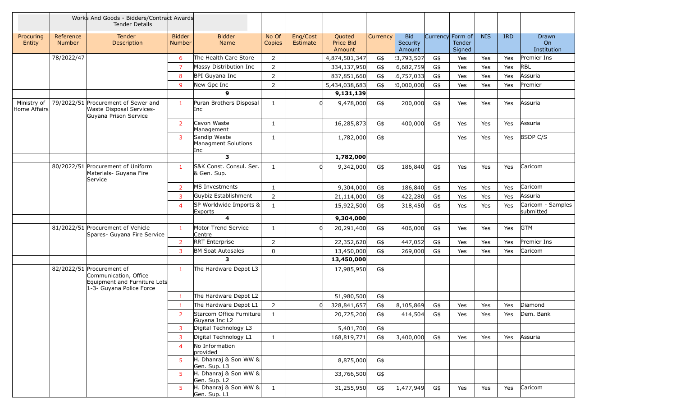|                             |                            | Works And Goods - Bidders/Contract Awards<br><b>Tender Details</b>                                             |                         |                                            |                 |                      |                               |          |                                  |                  |                  |            |            |                                |
|-----------------------------|----------------------------|----------------------------------------------------------------------------------------------------------------|-------------------------|--------------------------------------------|-----------------|----------------------|-------------------------------|----------|----------------------------------|------------------|------------------|------------|------------|--------------------------------|
| Procuring<br>Entity         | Reference<br><b>Number</b> | <b>Tender</b><br>Description                                                                                   | <b>Bidder</b><br>Number | <b>Bidder</b><br>Name                      | No Of<br>Copies | Eng/Cost<br>Estimate | Quoted<br>Price Bid<br>Amount | Currency | <b>Bid</b><br>Security<br>Amount | Currency Form of | Tender<br>Signed | <b>NIS</b> | <b>IRD</b> | Drawn<br>On<br>Institution     |
|                             | 78/2022/47                 |                                                                                                                | 6                       | The Health Care Store                      | $\overline{2}$  |                      | 4,874,501,347                 | G\$      | 3,793,507                        | G\$              | Yes              | Yes        | Yes        | Premier Ins                    |
|                             |                            |                                                                                                                | $\overline{7}$          | Massy Distribution Inc                     | $\overline{2}$  |                      | 334,137,950                   | G\$      | 6,682,759                        | G\$              | Yes              | Yes        | Yes        | <b>RBL</b>                     |
|                             |                            |                                                                                                                | 8                       | BPI Guyana Inc                             | $\overline{2}$  |                      | 837,851,660                   | G\$      | 6,757,033                        | G\$              | Yes              | Yes        | Yes        | Assuria                        |
|                             |                            |                                                                                                                | 9                       | New Gpc Inc                                | $\overline{2}$  |                      | 5,434,038,683                 | G\$      | [0,000,000]                      | G\$              | Yes              | Yes        | Yes        | Premier                        |
|                             |                            |                                                                                                                |                         | 9                                          |                 |                      | 9,131,139                     |          |                                  |                  |                  |            |            |                                |
| Ministry of<br>Home Affairs |                            | 79/2022/51 Procurement of Sewer and<br>Waste Disposal Services-<br>Guyana Prison Service                       | $\mathbf{1}$            | Puran Brothers Disposal<br>Inc             | $\mathbf{1}$    |                      | 9,478,000                     | G\$      | 200,000                          | G\$              | Yes              | Yes        | Yes        | Assuria                        |
|                             |                            |                                                                                                                | $\overline{2}$          | Cevon Waste<br>Management                  | $\mathbf{1}$    |                      | 16,285,873                    | G\$      | 400,000                          | G\$              | Yes              | Yes        | Yes        | Assuria                        |
|                             |                            |                                                                                                                | 3                       | Sandip Waste<br>Managment Solutions<br>Inc | $\mathbf{1}$    |                      | 1,782,000                     | G\$      |                                  |                  | Yes              | Yes        | Yes        | <b>BSDP C/S</b>                |
|                             |                            |                                                                                                                |                         | $\mathbf{3}$                               |                 |                      | 1,782,000                     |          |                                  |                  |                  |            |            |                                |
|                             |                            | 80/2022/51 Procurement of Uniform<br>Materials- Guyana Fire<br>Service                                         | $\mathbf{1}$            | S&K Const. Consul. Ser.<br>& Gen. Sup.     | $\mathbf{1}$    | $\Omega$             | 9,342,000                     | G\$      | 186,840                          | G\$              | Yes              | Yes        | Yes        | Caricom                        |
|                             |                            |                                                                                                                | $\overline{2}$          | MS Investments                             | $\mathbf{1}$    |                      | 9,304,000                     | G\$      | 186,840                          | G\$              | Yes              | Yes        | Yes        | Caricom                        |
|                             |                            |                                                                                                                | 3                       | Guybiz Establishment                       | $\overline{2}$  |                      | 21,114,000                    | G\$      | 422,280                          | G\$              | Yes              | Yes        | Yes        | Assuria                        |
|                             |                            |                                                                                                                | 4                       | SP Worldwide Imports &<br>Exports          | $\mathbf{1}$    |                      | 15,922,500                    | G\$      | 318,450                          | G\$              | Yes              | Yes        | Yes        | Caricom - Samples<br>submitted |
|                             |                            |                                                                                                                |                         | $\overline{\mathbf{4}}$                    |                 |                      | 9,304,000                     |          |                                  |                  |                  |            |            |                                |
|                             |                            | 81/2022/51 Procurement of Vehicle<br>Spares- Guyana Fire Service                                               | $\mathbf{1}$            | Motor Trend Service<br>Centre              | $\mathbf{1}$    |                      | 20,291,400                    | G\$      | 406,000                          | G\$              | Yes              | Yes        | Yes        | <b>GTM</b>                     |
|                             |                            |                                                                                                                | 2                       | <b>RRT</b> Enterprise                      | $\overline{2}$  |                      | 22,352,620                    | G\$      | 447,052                          | G\$              | Yes              | Yes        | Yes        | Premier Ins                    |
|                             |                            |                                                                                                                | 3                       | <b>BM Soat Autosales</b>                   | $\mathbf{0}$    |                      | 13,450,000                    | G\$      | 269,000                          | G\$              | Yes              | <b>Yes</b> | Yes        | Caricom                        |
|                             |                            |                                                                                                                |                         | 3                                          |                 |                      | 13,450,000                    |          |                                  |                  |                  |            |            |                                |
|                             |                            | 82/2022/51 Procurement of<br>Communication, Office<br>Equipment and Furniture Lots<br>1-3- Guyana Police Force | $\mathbf{1}$            | The Hardware Depot L3                      |                 |                      | 17,985,950                    | G\$      |                                  |                  |                  |            |            |                                |
|                             |                            |                                                                                                                | $\mathbf{1}$            | The Hardware Depot L2                      |                 |                      | 51,980,500                    | G\$      |                                  |                  |                  |            |            |                                |
|                             |                            |                                                                                                                | $\mathbf{1}$            | The Hardware Depot L1                      | $\overline{2}$  |                      | 328,841,657                   | G\$      | 8,105,869                        | G\$              | Yes              | Yes        | Yes        | Diamond                        |
|                             |                            |                                                                                                                |                         | Starcom Office Furniture<br>Guyana Inc L2  | 1               |                      | 20,725,200                    | G\$      | 414,504 G\$                      |                  | Yes              | Yes        | Yes        | Dem. Bank                      |
|                             |                            |                                                                                                                | $\overline{3}$          | Digital Technology L3                      |                 |                      | 5,401,700                     | G\$      |                                  |                  |                  |            |            |                                |
|                             |                            |                                                                                                                | 3                       | Digital Technology L1                      | $\mathbf{1}$    |                      | 168,819,771                   | G\$      | 3,400,000                        | G\$              | Yes              | Yes        | Yes        | Assuria                        |
|                             |                            |                                                                                                                | $\overline{4}$          | No Information<br>provided                 |                 |                      |                               |          |                                  |                  |                  |            |            |                                |
|                             |                            |                                                                                                                | -5                      | H. Dhanraj & Son WW &<br>Gen. Sup. L3      |                 |                      | 8,875,000                     | G\$      |                                  |                  |                  |            |            |                                |
|                             |                            |                                                                                                                | 5                       | H. Dhanraj & Son WW &<br>Gen. Sup. L2      |                 |                      | 33,766,500                    | G\$      |                                  |                  |                  |            |            |                                |
|                             |                            |                                                                                                                | -5                      | H. Dhanraj & Son WW &<br>Gen. Sup. L1      | $\mathbf{1}$    |                      | 31,255,950                    | G\$      | 1,477,949                        | G\$              | Yes              | Yes        | Yes        | Caricom                        |